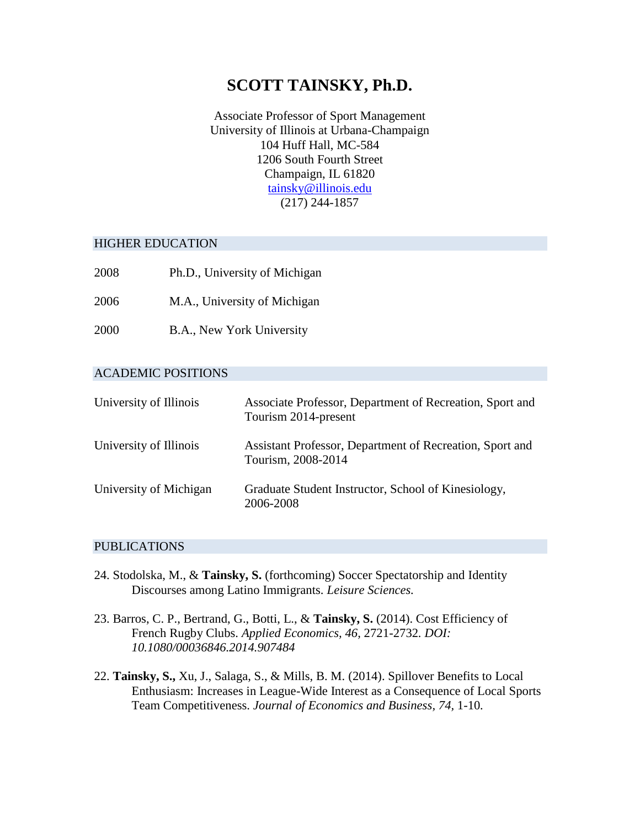# **SCOTT TAINSKY, Ph.D.**

Associate Professor of Sport Management University of Illinois at Urbana-Champaign 104 Huff Hall, MC-584 1206 South Fourth Street Champaign, IL 61820 [tainsky@illinois.edu](mailto:tainsky@illinois.edu) (217) 244-1857

#### HIGHER EDUCATION

- 2008 Ph.D., University of Michigan
- 2006 M.A., University of Michigan
- 2000 B.A., New York University

## ACADEMIC POSITIONS

| University of Illinois | Associate Professor, Department of Recreation, Sport and<br>Tourism 2014-present |
|------------------------|----------------------------------------------------------------------------------|
| University of Illinois | Assistant Professor, Department of Recreation, Sport and<br>Tourism, 2008-2014   |
| University of Michigan | Graduate Student Instructor, School of Kinesiology,<br>2006-2008                 |

#### PUBLICATIONS

- 24. Stodolska, M., & **Tainsky, S.** (forthcoming) Soccer Spectatorship and Identity Discourses among Latino Immigrants. *Leisure Sciences.*
- 23. Barros, C. P., Bertrand, G., Botti, L., & **Tainsky, S.** (2014). Cost Efficiency of French Rugby Clubs. *Applied Economics, 46,* 2721-2732*. DOI: 10.1080/00036846.2014.907484*
- 22. **Tainsky, S.,** Xu, J., Salaga, S., & Mills, B. M. (2014). Spillover Benefits to Local Enthusiasm: Increases in League-Wide Interest as a Consequence of Local Sports Team Competitiveness. *Journal of Economics and Business, 74,* 1-10*.*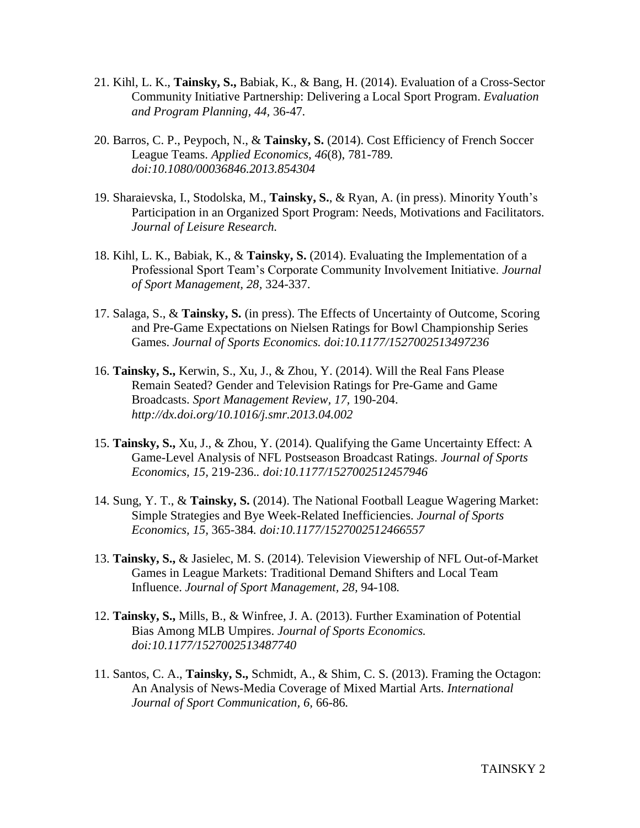- 21. Kihl, L. K., **Tainsky, S.,** Babiak, K., & Bang, H. (2014). Evaluation of a Cross-Sector Community Initiative Partnership: Delivering a Local Sport Program. *Evaluation and Program Planning, 44,* 36-47*.*
- 20. Barros, C. P., Peypoch, N., & **Tainsky, S.** (2014). Cost Efficiency of French Soccer League Teams. *Applied Economics, 46*(8), 781-789*. doi:10.1080/00036846.2013.854304*
- 19. Sharaievska, I., Stodolska, M., **Tainsky, S.**, & Ryan, A. (in press). Minority Youth's Participation in an Organized Sport Program: Needs, Motivations and Facilitators. *Journal of Leisure Research.*
- 18. Kihl, L. K., Babiak, K., & **Tainsky, S.** (2014). Evaluating the Implementation of a Professional Sport Team's Corporate Community Involvement Initiative. *Journal of Sport Management, 28,* 324-337.
- 17. Salaga, S., & **Tainsky, S.** (in press). The Effects of Uncertainty of Outcome, Scoring and Pre-Game Expectations on Nielsen Ratings for Bowl Championship Series Games. *Journal of Sports Economics. doi:10.1177/1527002513497236*
- 16. **Tainsky, S.,** Kerwin, S., Xu, J., & Zhou, Y. (2014). Will the Real Fans Please Remain Seated? Gender and Television Ratings for Pre-Game and Game Broadcasts. *Sport Management Review, 17,* 190-204. *http://dx.doi.org/10.1016/j.smr.2013.04.002*
- 15. **Tainsky, S.,** Xu, J., & Zhou, Y. (2014). Qualifying the Game Uncertainty Effect: A Game-Level Analysis of NFL Postseason Broadcast Ratings. *Journal of Sports Economics, 15,* 219-236.*. doi:10.1177/1527002512457946*
- 14. Sung, Y. T., & **Tainsky, S.** (2014). The National Football League Wagering Market: Simple Strategies and Bye Week-Related Inefficiencies. *Journal of Sports Economics, 15,* 365-384*. doi:10.1177/1527002512466557*
- 13. **Tainsky, S.,** & Jasielec, M. S. (2014). Television Viewership of NFL Out-of-Market Games in League Markets: Traditional Demand Shifters and Local Team Influence. *Journal of Sport Management, 28,* 94-108*.*
- 12. **Tainsky, S.,** Mills, B., & Winfree, J. A. (2013). Further Examination of Potential Bias Among MLB Umpires. *Journal of Sports Economics. doi:10.1177/1527002513487740*
- 11. Santos, C. A., **Tainsky, S.,** Schmidt, A., & Shim, C. S. (2013). Framing the Octagon: An Analysis of News-Media Coverage of Mixed Martial Arts. *International Journal of Sport Communication, 6,* 66-86*.*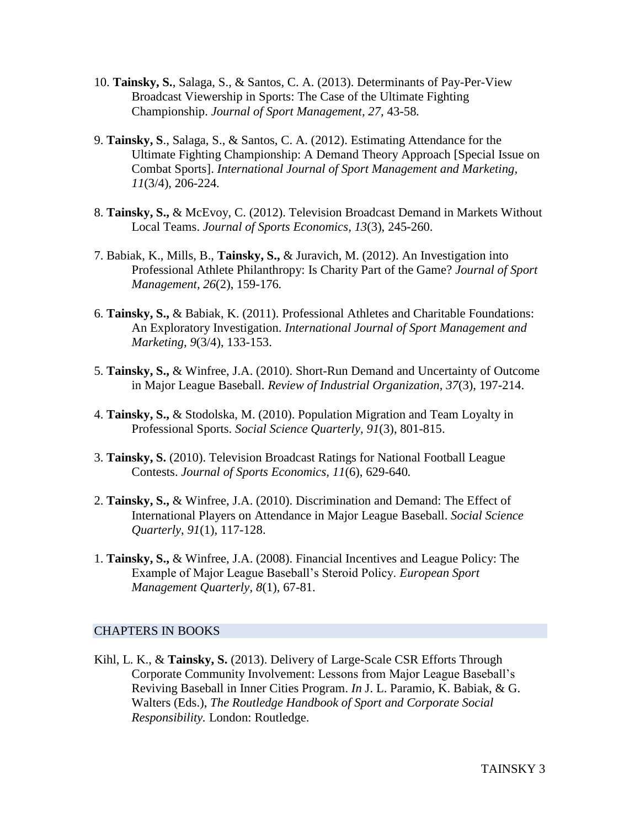- 10. **Tainsky, S.**, Salaga, S., & Santos, C. A. (2013). Determinants of Pay-Per-View Broadcast Viewership in Sports: The Case of the Ultimate Fighting Championship. *Journal of Sport Management, 27,* 43-58*.*
- 9. **Tainsky, S**., Salaga, S., & Santos, C. A. (2012). Estimating Attendance for the Ultimate Fighting Championship: A Demand Theory Approach [Special Issue on Combat Sports]. *International Journal of Sport Management and Marketing, 11*(3/4), 206-224*.*
- 8. **Tainsky, S.,** & McEvoy, C. (2012). Television Broadcast Demand in Markets Without Local Teams. *Journal of Sports Economics, 13*(3), 245-260.
- 7. Babiak, K., Mills, B., **Tainsky, S.,** & Juravich, M. (2012). An Investigation into Professional Athlete Philanthropy: Is Charity Part of the Game? *Journal of Sport Management, 26*(2), 159-176*.*
- 6. **Tainsky, S.,** & Babiak, K. (2011). Professional Athletes and Charitable Foundations: An Exploratory Investigation. *International Journal of Sport Management and Marketing, 9*(3/4), 133-153.
- 5. **Tainsky, S.,** & Winfree, J.A. (2010). Short-Run Demand and Uncertainty of Outcome in Major League Baseball. *Review of Industrial Organization*, *37*(3), 197-214.
- 4. **Tainsky, S.,** & Stodolska, M. (2010). Population Migration and Team Loyalty in Professional Sports. *Social Science Quarterly, 91*(3), 801-815.
- 3. **Tainsky, S.** (2010). Television Broadcast Ratings for National Football League Contests. *Journal of Sports Economics, 11*(6), 629-640*.*
- 2. **Tainsky, S.,** & Winfree, J.A. (2010). Discrimination and Demand: The Effect of International Players on Attendance in Major League Baseball. *Social Science Quarterly*, *91*(1), 117-128.
- 1. **Tainsky, S.,** & Winfree, J.A. (2008). Financial Incentives and League Policy: The Example of Major League Baseball's Steroid Policy. *European Sport Management Quarterly*, *8*(1), 67-81.

## CHAPTERS IN BOOKS

Kihl, L. K., & **Tainsky, S.** (2013). Delivery of Large-Scale CSR Efforts Through Corporate Community Involvement: Lessons from Major League Baseball's Reviving Baseball in Inner Cities Program. *In* J. L. Paramio, K. Babiak, & G. Walters (Eds.), *The Routledge Handbook of Sport and Corporate Social Responsibility.* London: Routledge.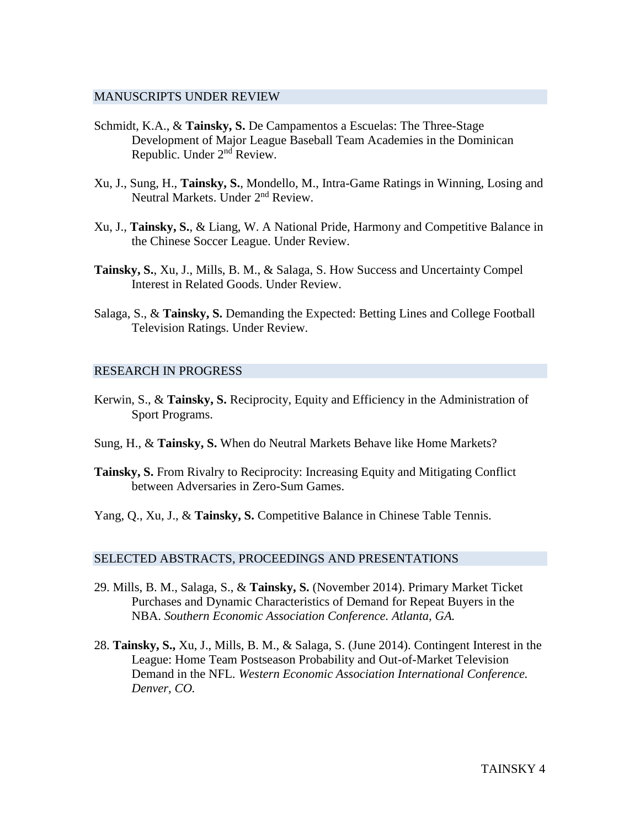### MANUSCRIPTS UNDER REVIEW

- Schmidt, K.A., & **Tainsky, S.** De Campamentos a Escuelas: The Three-Stage Development of Major League Baseball Team Academies in the Dominican Republic. Under 2<sup>nd</sup> Review.
- Xu, J., Sung, H., **Tainsky, S.**, Mondello, M., Intra-Game Ratings in Winning, Losing and Neutral Markets. Under 2<sup>nd</sup> Review.
- Xu, J., **Tainsky, S.**, & Liang, W. A National Pride, Harmony and Competitive Balance in the Chinese Soccer League. Under Review.
- **Tainsky, S.**, Xu, J., Mills, B. M., & Salaga, S. How Success and Uncertainty Compel Interest in Related Goods. Under Review.
- Salaga, S., & **Tainsky, S.** Demanding the Expected: Betting Lines and College Football Television Ratings. Under Review.

### RESEARCH IN PROGRESS

- Kerwin, S., & **Tainsky, S.** Reciprocity, Equity and Efficiency in the Administration of Sport Programs.
- Sung, H., & **Tainsky, S.** When do Neutral Markets Behave like Home Markets?
- **Tainsky, S.** From Rivalry to Reciprocity: Increasing Equity and Mitigating Conflict between Adversaries in Zero-Sum Games.
- Yang, Q., Xu, J., & **Tainsky, S.** Competitive Balance in Chinese Table Tennis.

#### SELECTED ABSTRACTS, PROCEEDINGS AND PRESENTATIONS

- 29. Mills, B. M., Salaga, S., & **Tainsky, S.** (November 2014). Primary Market Ticket Purchases and Dynamic Characteristics of Demand for Repeat Buyers in the NBA. *Southern Economic Association Conference. Atlanta, GA.*
- 28. **Tainsky, S.,** Xu, J., Mills, B. M., & Salaga, S. (June 2014). Contingent Interest in the League: Home Team Postseason Probability and Out-of-Market Television Demand in the NFL. *Western Economic Association International Conference. Denver, CO.*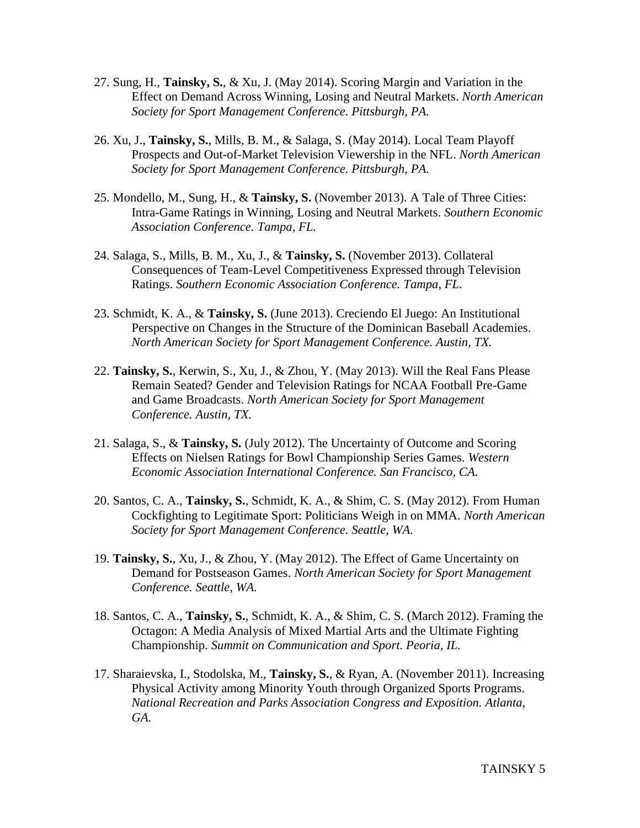- 27. Sung, H., **Tainsky, S.**, & Xu, J. (May 2014). Scoring Margin and Variation in the Effect on Demand Across Winning, Losing and Neutral Markets. *North American Society for Sport Management Conference. Pittsburgh, PA.*
- 26. Xu, J., **Tainsky, S.**, Mills, B. M., & Salaga, S. (May 2014). Local Team Playoff Prospects and Out-of-Market Television Viewership in the NFL. *North American Society for Sport Management Conference. Pittsburgh, PA.*
- 25. Mondello, M., Sung, H., & **Tainsky, S.** (November 2013). A Tale of Three Cities: Intra-Game Ratings in Winning, Losing and Neutral Markets. *Southern Economic Association Conference. Tampa, FL.*
- 24. Salaga, S., Mills, B. M., Xu, J., & **Tainsky, S.** (November 2013). Collateral Consequences of Team-Level Competitiveness Expressed through Television Ratings. *Southern Economic Association Conference. Tampa, FL.*
- 23. Schmidt, K. A., & **Tainsky, S.** (June 2013). Creciendo El Juego: An Institutional Perspective on Changes in the Structure of the Dominican Baseball Academies. *North American Society for Sport Management Conference. Austin, TX.*
- 22. **Tainsky, S.**, Kerwin, S., Xu, J., & Zhou, Y. (May 2013). Will the Real Fans Please Remain Seated? Gender and Television Ratings for NCAA Football Pre-Game and Game Broadcasts. *North American Society for Sport Management Conference. Austin, TX.*
- 21. Salaga, S., & **Tainsky, S.** (July 2012). The Uncertainty of Outcome and Scoring Effects on Nielsen Ratings for Bowl Championship Series Games. *Western Economic Association International Conference. San Francisco, CA.*
- 20. Santos, C. A., **Tainsky, S.**, Schmidt, K. A., & Shim, C. S. (May 2012). From Human Cockfighting to Legitimate Sport: Politicians Weigh in on MMA. *North American Society for Sport Management Conference. Seattle, WA.*
- 19. **Tainsky, S.**, Xu, J., & Zhou, Y. (May 2012). The Effect of Game Uncertainty on Demand for Postseason Games. *North American Society for Sport Management Conference. Seattle, WA.*
- 18. Santos, C. A., **Tainsky, S.**, Schmidt, K. A., & Shim, C. S. (March 2012). Framing the Octagon: A Media Analysis of Mixed Martial Arts and the Ultimate Fighting Championship. *Summit on Communication and Sport. Peoria, IL.*
- 17. Sharaievska, I., Stodolska, M., **Tainsky, S.**, & Ryan, A. (November 2011). Increasing Physical Activity among Minority Youth through Organized Sports Programs. *National Recreation and Parks Association Congress and Exposition. Atlanta, GA.*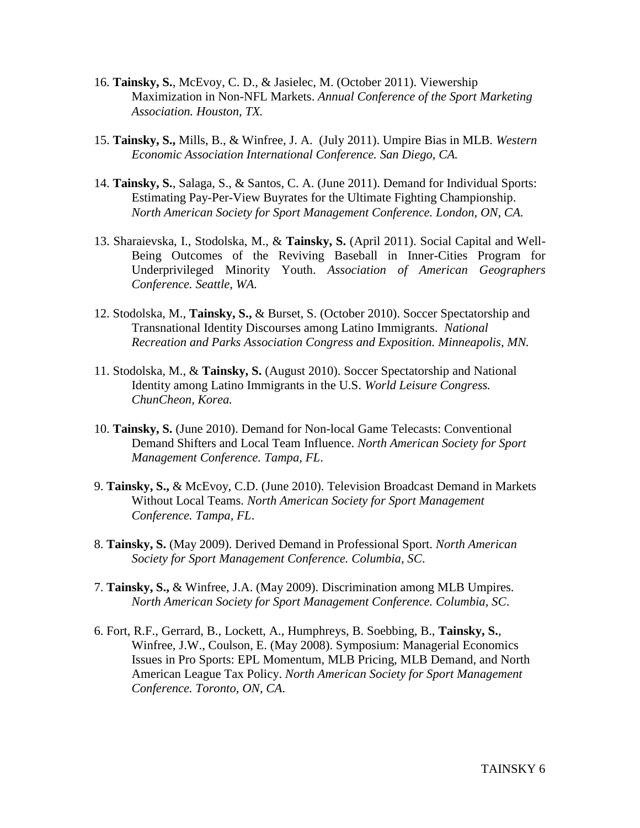- 16. **Tainsky, S.**, McEvoy, C. D., & Jasielec, M. (October 2011). Viewership Maximization in Non-NFL Markets. *Annual Conference of the Sport Marketing Association. Houston, TX.*
- 15. **Tainsky, S.,** Mills, B., & Winfree, J. A. (July 2011). Umpire Bias in MLB. *Western Economic Association International Conference. San Diego, CA.*
- 14. **Tainsky, S.**, Salaga, S., & Santos, C. A. (June 2011). Demand for Individual Sports: Estimating Pay-Per-View Buyrates for the Ultimate Fighting Championship. *North American Society for Sport Management Conference. London, ON, CA.*
- 13. Sharaievska, I., Stodolska, M., & **Tainsky, S.** (April 2011). Social Capital and Well-Being Outcomes of the Reviving Baseball in Inner-Cities Program for Underprivileged Minority Youth. *Association of American Geographers Conference. Seattle, WA.*
- 12. Stodolska, M., **Tainsky, S.,** & Burset, S. (October 2010). Soccer Spectatorship and Transnational Identity Discourses among Latino Immigrants. *National Recreation and Parks Association Congress and Exposition. Minneapolis, MN.*
- 11. Stodolska, M., & **Tainsky, S.** (August 2010). Soccer Spectatorship and National Identity among Latino Immigrants in the U.S. *World Leisure Congress. ChunCheon, Korea.*
- 10. **Tainsky, S.** (June 2010). Demand for Non-local Game Telecasts: Conventional Demand Shifters and Local Team Influence. *North American Society for Sport Management Conference. Tampa, FL*.
- 9. **Tainsky, S.,** & McEvoy, C.D. (June 2010). Television Broadcast Demand in Markets Without Local Teams. *North American Society for Sport Management Conference. Tampa, FL*.
- 8. **Tainsky, S.** (May 2009). Derived Demand in Professional Sport. *North American Society for Sport Management Conference. Columbia, SC*.
- 7. **Tainsky, S.,** & Winfree, J.A. (May 2009). Discrimination among MLB Umpires. *North American Society for Sport Management Conference. Columbia, SC*.
- 6. Fort, R.F., Gerrard, B., Lockett, A., Humphreys, B. Soebbing, B., **Tainsky, S.**, Winfree, J.W., Coulson, E. (May 2008). Symposium: Managerial Economics Issues in Pro Sports: EPL Momentum, MLB Pricing, MLB Demand, and North American League Tax Policy. *North American Society for Sport Management Conference. Toronto, ON, CA*.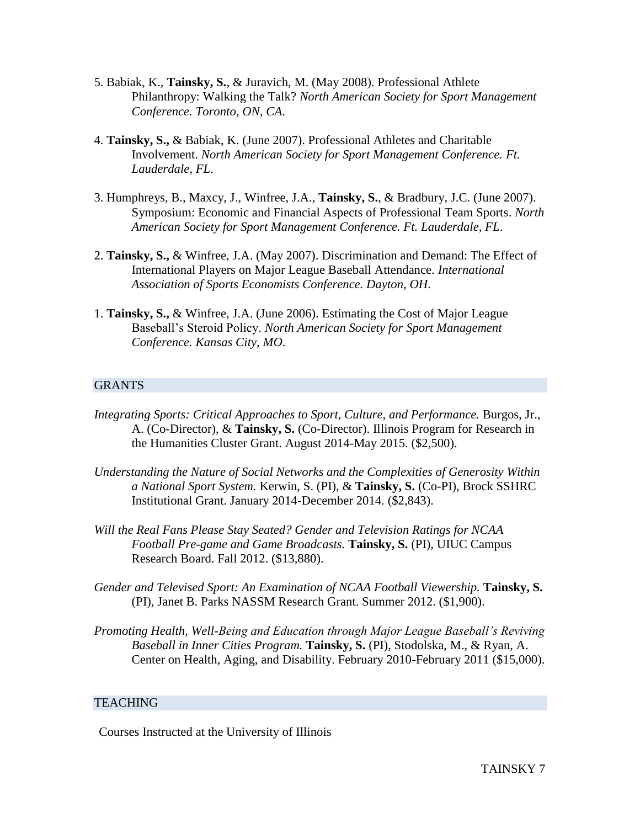- 5. Babiak, K., **Tainsky, S.**, & Juravich, M. (May 2008). Professional Athlete Philanthropy: Walking the Talk? *North American Society for Sport Management Conference. Toronto, ON, CA*.
- 4. **Tainsky, S.,** & Babiak, K. (June 2007). Professional Athletes and Charitable Involvement. *North American Society for Sport Management Conference. Ft. Lauderdale, FL*.
- 3. Humphreys, B., Maxcy, J., Winfree, J.A., **Tainsky, S.**, & Bradbury, J.C. (June 2007). Symposium: Economic and Financial Aspects of Professional Team Sports. *North American Society for Sport Management Conference. Ft. Lauderdale, FL*.
- 2. **Tainsky, S.,** & Winfree, J.A. (May 2007). Discrimination and Demand: The Effect of International Players on Major League Baseball Attendance. *International Association of Sports Economists Conference. Dayton, OH*.
- 1. **Tainsky, S.,** & Winfree, J.A. (June 2006). Estimating the Cost of Major League Baseball's Steroid Policy. *North American Society for Sport Management Conference. Kansas City, MO*.

## **GRANTS**

- *Integrating Sports: Critical Approaches to Sport, Culture, and Performance.* Burgos, Jr., A. (Co-Director), & **Tainsky, S.** (Co-Director). Illinois Program for Research in the Humanities Cluster Grant. August 2014-May 2015. (\$2,500).
- *Understanding the Nature of Social Networks and the Complexities of Generosity Within a National Sport System.* Kerwin, S. (PI), & **Tainsky, S.** (Co-PI), Brock SSHRC Institutional Grant. January 2014-December 2014. (\$2,843).
- *Will the Real Fans Please Stay Seated? Gender and Television Ratings for NCAA Football Pre-game and Game Broadcasts.* **Tainsky, S.** (PI), UIUC Campus Research Board. Fall 2012. (\$13,880).
- *Gender and Televised Sport: An Examination of NCAA Football Viewership.* **Tainsky, S.**  (PI), Janet B. Parks NASSM Research Grant. Summer 2012. (\$1,900).
- *Promoting Health, Well-Being and Education through Major League Baseball's Reviving Baseball in Inner Cities Program.* **Tainsky, S.** (PI), Stodolska, M., & Ryan, A. Center on Health, Aging, and Disability. February 2010-February 2011 (\$15,000).

## **TEACHING**

Courses Instructed at the University of Illinois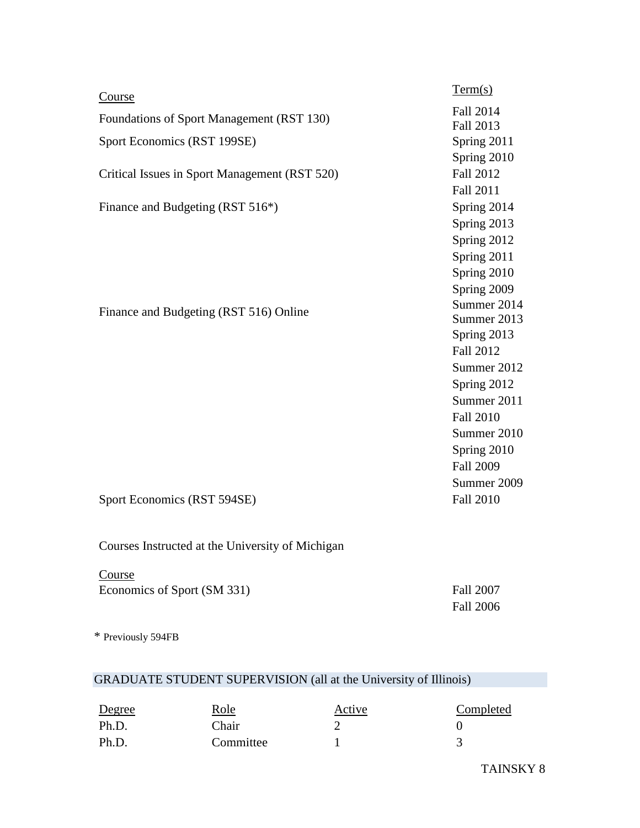| Course                                        | Term(s)                       |
|-----------------------------------------------|-------------------------------|
| Foundations of Sport Management (RST 130)     | <b>Fall 2014</b><br>Fall 2013 |
| Sport Economics (RST 199SE)                   | Spring 2011                   |
|                                               | Spring 2010                   |
| Critical Issues in Sport Management (RST 520) | <b>Fall 2012</b>              |
|                                               | <b>Fall 2011</b>              |
| Finance and Budgeting (RST 516*)              | Spring 2014                   |
|                                               | Spring 2013                   |
|                                               | Spring 2012                   |
|                                               | Spring 2011                   |
|                                               | Spring 2010                   |
|                                               | Spring 2009                   |
| Finance and Budgeting (RST 516) Online        | Summer 2014                   |
|                                               | Summer 2013                   |
|                                               | Spring 2013                   |
|                                               | Fall 2012                     |
|                                               | Summer 2012                   |
|                                               | Spring 2012                   |
|                                               | Summer 2011                   |
|                                               | <b>Fall 2010</b>              |
|                                               | Summer 2010                   |
|                                               | Spring 2010                   |
|                                               | <b>Fall 2009</b>              |
|                                               | Summer 2009                   |
| Sport Economics (RST 594SE)                   | <b>Fall 2010</b>              |

Courses Instructed at the University of Michigan

**Course** Economics of Sport (SM 331) Fall 2007

Fall 2006

\* Previously 594FB

# GRADUATE STUDENT SUPERVISION (all at the University of Illinois)

| Degree | Role      | Active | Completed |
|--------|-----------|--------|-----------|
| Ph.D.  | Chair     |        |           |
| Ph.D.  | Committee |        |           |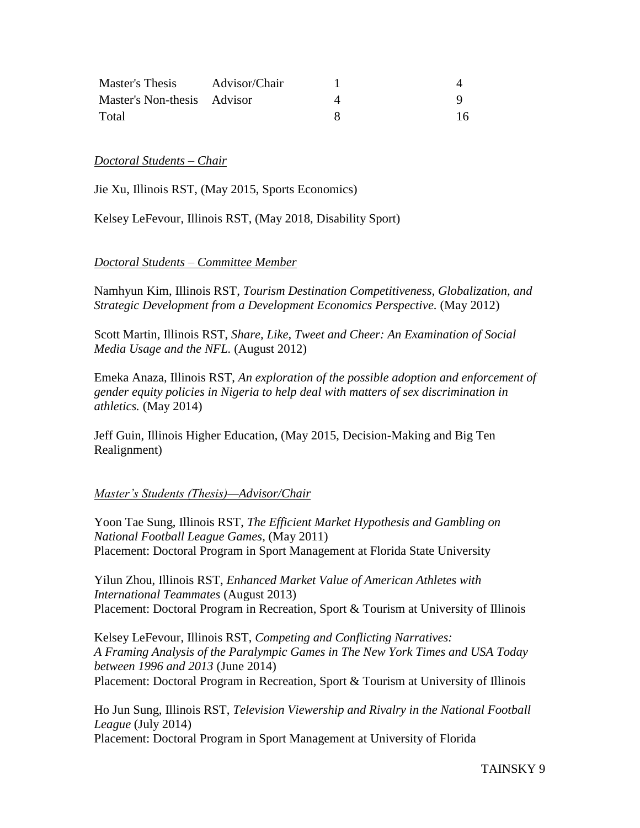| Master's Thesis             | Advisor/Chair |  |
|-----------------------------|---------------|--|
| Master's Non-thesis Advisor |               |  |
| Total                       |               |  |

### *Doctoral Students – Chair*

Jie Xu, Illinois RST, (May 2015, Sports Economics)

Kelsey LeFevour, Illinois RST, (May 2018, Disability Sport)

## *Doctoral Students – Committee Member*

Namhyun Kim, Illinois RST, *Tourism Destination Competitiveness, Globalization, and Strategic Development from a Development Economics Perspective.* (May 2012)

Scott Martin, Illinois RST, *Share, Like, Tweet and Cheer: An Examination of Social Media Usage and the NFL.* (August 2012)

Emeka Anaza, Illinois RST, *An exploration of the possible adoption and enforcement of gender equity policies in Nigeria to help deal with matters of sex discrimination in athletics.* (May 2014)

Jeff Guin, Illinois Higher Education, (May 2015, Decision-Making and Big Ten Realignment)

## *Master's Students (Thesis)—Advisor/Chair*

Yoon Tae Sung, Illinois RST, *The Efficient Market Hypothesis and Gambling on National Football League Games,* (May 2011) Placement: Doctoral Program in Sport Management at Florida State University

Yilun Zhou, Illinois RST, *Enhanced Market Value of American Athletes with International Teammates* (August 2013) Placement: Doctoral Program in Recreation, Sport & Tourism at University of Illinois

Kelsey LeFevour, Illinois RST, *Competing and Conflicting Narratives: A Framing Analysis of the Paralympic Games in The New York Times and USA Today between 1996 and 2013* (June 2014) Placement: Doctoral Program in Recreation, Sport & Tourism at University of Illinois

Ho Jun Sung, Illinois RST, *Television Viewership and Rivalry in the National Football League* (July 2014) Placement: Doctoral Program in Sport Management at University of Florida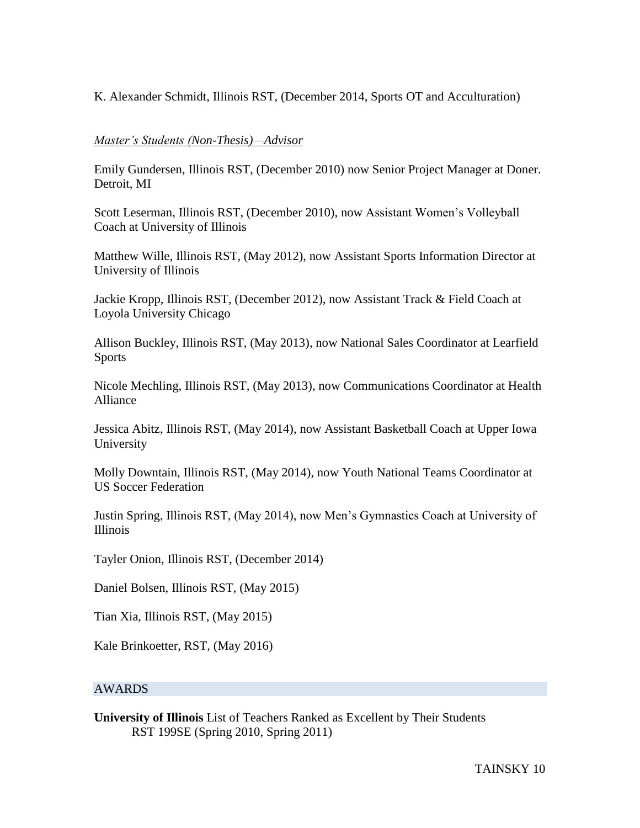K. Alexander Schmidt, Illinois RST, (December 2014, Sports OT and Acculturation)

## *Master's Students (Non-Thesis)—Advisor*

Emily Gundersen, Illinois RST, (December 2010) now Senior Project Manager at Doner. Detroit, MI

Scott Leserman, Illinois RST, (December 2010), now Assistant Women's Volleyball Coach at University of Illinois

Matthew Wille, Illinois RST, (May 2012), now Assistant Sports Information Director at University of Illinois

Jackie Kropp, Illinois RST, (December 2012), now Assistant Track & Field Coach at Loyola University Chicago

Allison Buckley, Illinois RST, (May 2013), now National Sales Coordinator at Learfield Sports

Nicole Mechling, Illinois RST, (May 2013), now Communications Coordinator at Health Alliance

Jessica Abitz, Illinois RST, (May 2014), now Assistant Basketball Coach at Upper Iowa University

Molly Downtain, Illinois RST, (May 2014), now Youth National Teams Coordinator at US Soccer Federation

Justin Spring, Illinois RST, (May 2014), now Men's Gymnastics Coach at University of Illinois

Tayler Onion, Illinois RST, (December 2014)

Daniel Bolsen, Illinois RST, (May 2015)

Tian Xia, Illinois RST, (May 2015)

Kale Brinkoetter, RST, (May 2016)

## AWARDS

**University of Illinois** List of Teachers Ranked as Excellent by Their Students RST 199SE (Spring 2010, Spring 2011)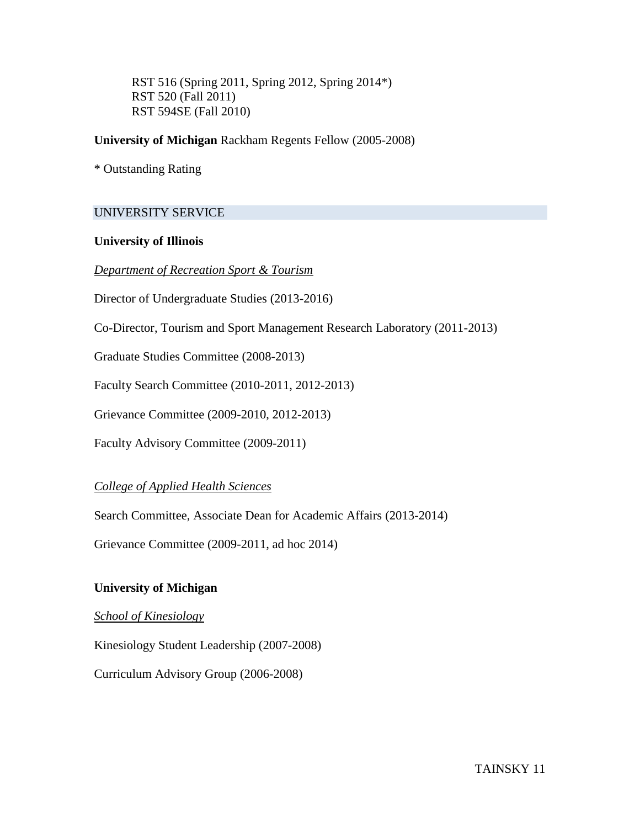RST 516 (Spring 2011, Spring 2012, Spring 2014\*) RST 520 (Fall 2011) RST 594SE (Fall 2010)

## **University of Michigan** Rackham Regents Fellow (2005-2008)

\* Outstanding Rating

# UNIVERSITY SERVICE

## **University of Illinois**

*Department of Recreation Sport & Tourism*

Director of Undergraduate Studies (2013-2016)

Co-Director, Tourism and Sport Management Research Laboratory (2011-2013)

Graduate Studies Committee (2008-2013)

Faculty Search Committee (2010-2011, 2012-2013)

Grievance Committee (2009-2010, 2012-2013)

Faculty Advisory Committee (2009-2011)

# *College of Applied Health Sciences*

Search Committee, Associate Dean for Academic Affairs (2013-2014)

Grievance Committee (2009-2011, ad hoc 2014)

## **University of Michigan**

## *School of Kinesiology*

Kinesiology Student Leadership (2007-2008)

Curriculum Advisory Group (2006-2008)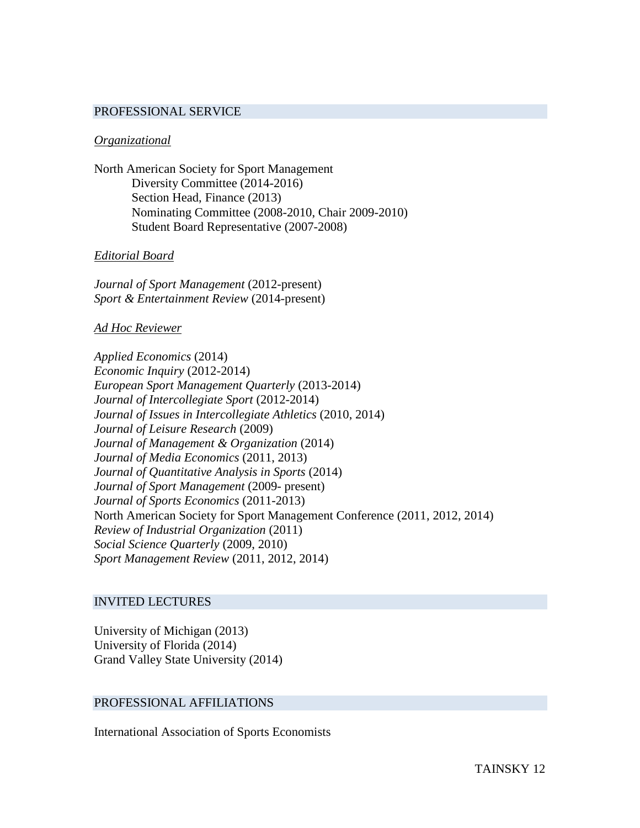#### PROFESSIONAL SERVICE

#### *Organizational*

North American Society for Sport Management Diversity Committee (2014-2016) Section Head, Finance (2013) Nominating Committee (2008-2010, Chair 2009-2010) Student Board Representative (2007-2008)

#### *Editorial Board*

*Journal of Sport Management* (2012-present) *Sport & Entertainment Review* (2014-present)

#### *Ad Hoc Reviewer*

*Applied Economics* (2014) *Economic Inquiry* (2012-2014) *European Sport Management Quarterly* (2013-2014) *Journal of Intercollegiate Sport* (2012-2014) *Journal of Issues in Intercollegiate Athletics* (2010, 2014) *Journal of Leisure Research* (2009) *Journal of Management & Organization* (2014) *Journal of Media Economics* (2011, 2013) *Journal of Quantitative Analysis in Sports* (2014) *Journal of Sport Management* (2009- present) *Journal of Sports Economics* (2011-2013) North American Society for Sport Management Conference (2011, 2012, 2014) *Review of Industrial Organization* (2011) *Social Science Quarterly* (2009, 2010) *Sport Management Review* (2011, 2012, 2014)

#### INVITED LECTURES

University of Michigan (2013) University of Florida (2014) Grand Valley State University (2014)

#### PROFESSIONAL AFFILIATIONS

International Association of Sports Economists